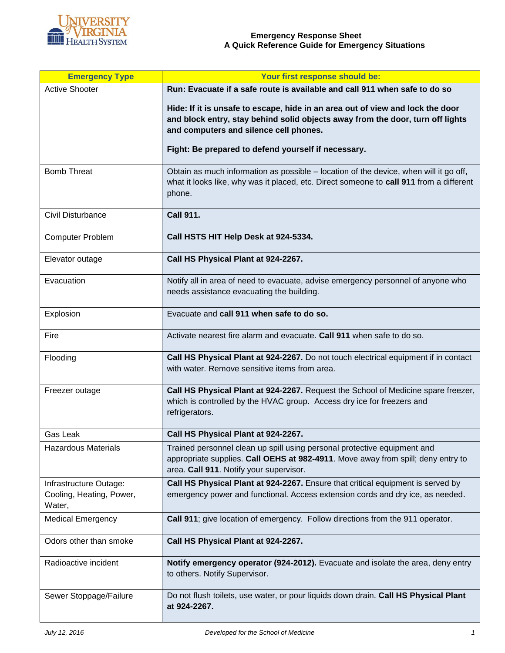

| <b>Emergency Type</b>                                        | Your first response should be:                                                                                                                                                                             |
|--------------------------------------------------------------|------------------------------------------------------------------------------------------------------------------------------------------------------------------------------------------------------------|
| <b>Active Shooter</b>                                        | Run: Evacuate if a safe route is available and call 911 when safe to do so                                                                                                                                 |
|                                                              | Hide: If it is unsafe to escape, hide in an area out of view and lock the door<br>and block entry, stay behind solid objects away from the door, turn off lights<br>and computers and silence cell phones. |
|                                                              | Fight: Be prepared to defend yourself if necessary.                                                                                                                                                        |
| <b>Bomb Threat</b>                                           | Obtain as much information as possible – location of the device, when will it go off,<br>what it looks like, why was it placed, etc. Direct someone to call 911 from a different<br>phone.                 |
| Civil Disturbance                                            | <b>Call 911.</b>                                                                                                                                                                                           |
| <b>Computer Problem</b>                                      | Call HSTS HIT Help Desk at 924-5334.                                                                                                                                                                       |
| Elevator outage                                              | Call HS Physical Plant at 924-2267.                                                                                                                                                                        |
| Evacuation                                                   | Notify all in area of need to evacuate, advise emergency personnel of anyone who<br>needs assistance evacuating the building.                                                                              |
| Explosion                                                    | Evacuate and call 911 when safe to do so.                                                                                                                                                                  |
| Fire                                                         | Activate nearest fire alarm and evacuate. Call 911 when safe to do so.                                                                                                                                     |
| Flooding                                                     | Call HS Physical Plant at 924-2267. Do not touch electrical equipment if in contact<br>with water. Remove sensitive items from area.                                                                       |
| Freezer outage                                               | Call HS Physical Plant at 924-2267. Request the School of Medicine spare freezer,<br>which is controlled by the HVAC group. Access dry ice for freezers and<br>refrigerators.                              |
| Gas Leak                                                     | Call HS Physical Plant at 924-2267.                                                                                                                                                                        |
| <b>Hazardous Materials</b>                                   | Trained personnel clean up spill using personal protective equipment and<br>appropriate supplies. Call OEHS at 982-4911. Move away from spill; deny entry to<br>area. Call 911. Notify your supervisor.    |
| Infrastructure Outage:<br>Cooling, Heating, Power,<br>Water, | Call HS Physical Plant at 924-2267. Ensure that critical equipment is served by<br>emergency power and functional. Access extension cords and dry ice, as needed.                                          |
| <b>Medical Emergency</b>                                     | Call 911; give location of emergency. Follow directions from the 911 operator.                                                                                                                             |
| Odors other than smoke                                       | Call HS Physical Plant at 924-2267.                                                                                                                                                                        |
| Radioactive incident                                         | Notify emergency operator (924-2012). Evacuate and isolate the area, deny entry<br>to others. Notify Supervisor.                                                                                           |
| Sewer Stoppage/Failure                                       | Do not flush toilets, use water, or pour liquids down drain. Call HS Physical Plant<br>at 924-2267.                                                                                                        |